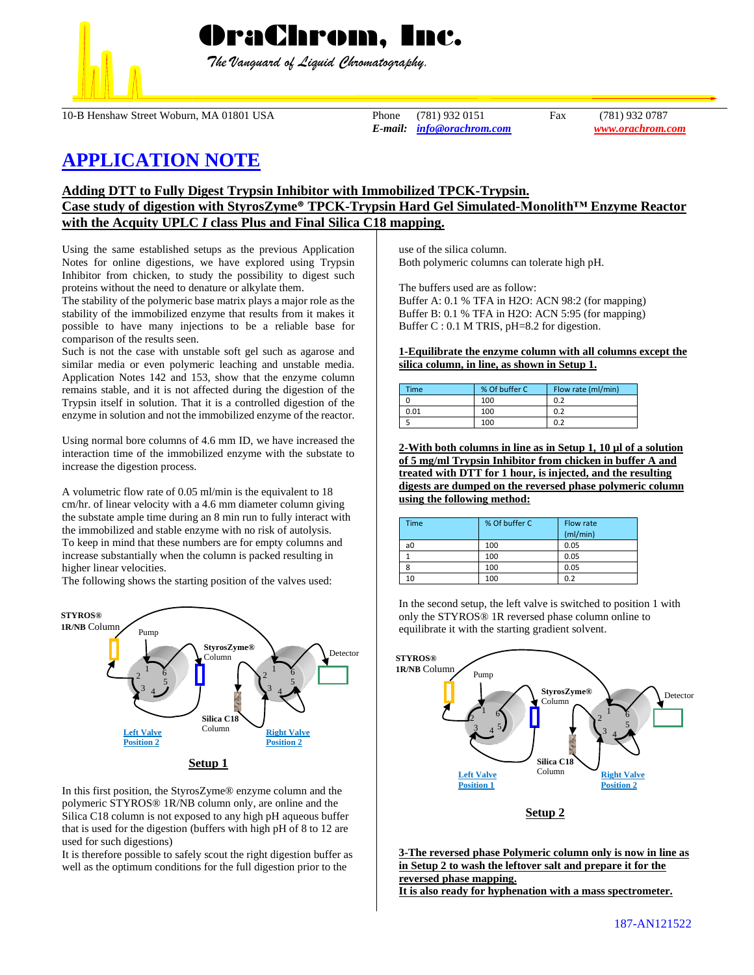

 *The Vanguard of Liquid Chromatography.*

10-B Henshaw Street Woburn, MA 01801 USA Phone (781) 932 0151 Fax (781) 932 0787

*E-mail: [info@orachrom.com](mailto:info@orachrom.com) www.orachrom.com*

# **APPLICATION NOTE**

## **Adding DTT to Fully Digest Trypsin Inhibitor with Immobilized TPCK-Trypsin.**

## **Case study of digestion with StyrosZyme® TPCK-Trypsin Hard Gel Simulated-Monolith™ Enzyme Reactor with the Acquity UPLC** *I* **class Plus and Final Silica C18 mapping.**

Using the same established setups as the previous Application Notes for online digestions, we have explored using Trypsin Inhibitor from chicken, to study the possibility to digest such proteins without the need to denature or alkylate them.

The stability of the polymeric base matrix plays a major role as the stability of the immobilized enzyme that results from it makes it possible to have many injections to be a reliable base for comparison of the results seen.

Such is not the case with unstable soft gel such as agarose and similar media or even polymeric leaching and unstable media. Application Notes 142 and 153, show that the enzyme column remains stable, and it is not affected during the digestion of the Trypsin itself in solution. That it is a controlled digestion of the enzyme in solution and not the immobilized enzyme of the reactor.

Using normal bore columns of 4.6 mm ID, we have increased the interaction time of the immobilized enzyme with the substate to increase the digestion process.

A volumetric flow rate of 0.05 ml/min is the equivalent to 18 cm/hr. of linear velocity with a 4.6 mm diameter column giving the substate ample time during an 8 min run to fully interact with the immobilized and stable enzyme with no risk of autolysis. To keep in mind that these numbers are for empty columns and increase substantially when the column is packed resulting in higher linear velocities.

The following shows the starting position of the valves used:



In this first position, the StyrosZyme® enzyme column and the polymeric STYROS® 1R/NB column only, are online and the Silica C18 column is not exposed to any high pH aqueous buffer that is used for the digestion (buffers with high pH of 8 to 12 are used for such digestions)

It is therefore possible to safely scout the right digestion buffer as well as the optimum conditions for the full digestion prior to the

use of the silica column. Both polymeric columns can tolerate high pH.

The buffers used are as follow:

Buffer A: 0.1 % TFA in H2O: ACN 98:2 (for mapping) Buffer B: 0.1 % TFA in H2O: ACN 5:95 (for mapping) Buffer C : 0.1 M TRIS, pH=8.2 for digestion.

#### **1-Equilibrate the enzyme column with all columns except the silica column, in line, as shown in Setup 1.**

| <b>Time</b> | % Of buffer C | Flow rate (ml/min) |  |
|-------------|---------------|--------------------|--|
|             | 100           | 0.2                |  |
| 0.01        | 100           | 0.2                |  |
|             | 100           | 0.2                |  |

**2-With both columns in line as in Setup 1, 10 µl of a solution of 5 mg/ml Trypsin Inhibitor from chicken in buffer A and treated with DTT for 1 hour, is injected, and the resulting digests are dumped on the reversed phase polymeric column using the following method:**

| <b>Time</b> | % Of buffer C | Flow rate<br>(mI/min) |
|-------------|---------------|-----------------------|
| a0          | 100           | 0.05                  |
|             | 100           | 0.05                  |
|             | 100           | 0.05                  |
| 10          | 100           | 0.2                   |

In the second setup, the left valve is switched to position 1 with only the STYROS® 1R reversed phase column online to equilibrate it with the starting gradient solvent.



**Setup 2**

**3-The reversed phase Polymeric column only is now in line as in Setup 2 to wash the leftover salt and prepare it for the reversed phase mapping. It is also ready for hyphenation with a mass spectrometer.**